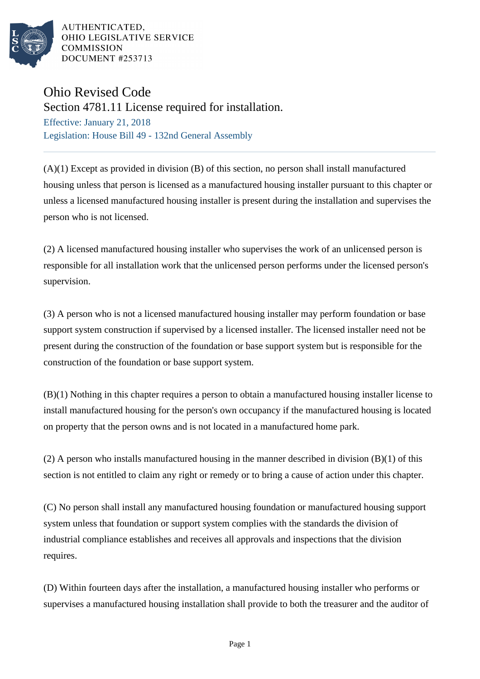

AUTHENTICATED, OHIO LEGISLATIVE SERVICE **COMMISSION** DOCUMENT #253713

## Ohio Revised Code

Section 4781.11 License required for installation.

Effective: January 21, 2018 Legislation: House Bill 49 - 132nd General Assembly

(A)(1) Except as provided in division (B) of this section, no person shall install manufactured housing unless that person is licensed as a manufactured housing installer pursuant to this chapter or unless a licensed manufactured housing installer is present during the installation and supervises the person who is not licensed.

(2) A licensed manufactured housing installer who supervises the work of an unlicensed person is responsible for all installation work that the unlicensed person performs under the licensed person's supervision.

(3) A person who is not a licensed manufactured housing installer may perform foundation or base support system construction if supervised by a licensed installer. The licensed installer need not be present during the construction of the foundation or base support system but is responsible for the construction of the foundation or base support system.

(B)(1) Nothing in this chapter requires a person to obtain a manufactured housing installer license to install manufactured housing for the person's own occupancy if the manufactured housing is located on property that the person owns and is not located in a manufactured home park.

(2) A person who installs manufactured housing in the manner described in division  $(B)(1)$  of this section is not entitled to claim any right or remedy or to bring a cause of action under this chapter.

(C) No person shall install any manufactured housing foundation or manufactured housing support system unless that foundation or support system complies with the standards the division of industrial compliance establishes and receives all approvals and inspections that the division requires.

(D) Within fourteen days after the installation, a manufactured housing installer who performs or supervises a manufactured housing installation shall provide to both the treasurer and the auditor of